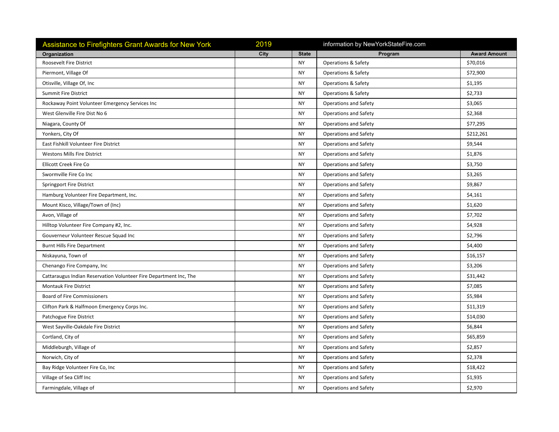| Assistance to Firefighters Grant Awards for New York              | 2019 |              | information by NewYorkStateFire.com |                     |
|-------------------------------------------------------------------|------|--------------|-------------------------------------|---------------------|
| Organization                                                      | City | <b>State</b> | Program                             | <b>Award Amount</b> |
| Roosevelt Fire District                                           |      | <b>NY</b>    | Operations & Safety                 | \$70,016            |
| Piermont, Village Of                                              |      | <b>NY</b>    | <b>Operations &amp; Safety</b>      | \$72,900            |
| Otisville, Village Of, Inc.                                       |      | <b>NY</b>    | <b>Operations &amp; Safety</b>      | \$1,195             |
| <b>Summit Fire District</b>                                       |      | <b>NY</b>    | <b>Operations &amp; Safety</b>      | \$2,733             |
| Rockaway Point Volunteer Emergency Services Inc                   |      | <b>NY</b>    | <b>Operations and Safety</b>        | \$3,065             |
| West Glenville Fire Dist No 6                                     |      | NY           | <b>Operations and Safety</b>        | \$2,368             |
| Niagara, County Of                                                |      | <b>NY</b>    | <b>Operations and Safety</b>        | \$77,295            |
| Yonkers, City Of                                                  |      | <b>NY</b>    | <b>Operations and Safety</b>        | \$212,261           |
| East Fishkill Volunteer Fire District                             |      | <b>NY</b>    | Operations and Safety               | \$9,544             |
| <b>Westons Mills Fire District</b>                                |      | <b>NY</b>    | <b>Operations and Safety</b>        | \$1,876             |
| Ellicott Creek Fire Co                                            |      | <b>NY</b>    | <b>Operations and Safety</b>        | \$3,750             |
| Swormville Fire Co Inc                                            |      | <b>NY</b>    | <b>Operations and Safety</b>        | \$3,265             |
| Springport Fire District                                          |      | <b>NY</b>    | Operations and Safety               | \$9,867             |
| Hamburg Volunteer Fire Department, Inc.                           |      | <b>NY</b>    | <b>Operations and Safety</b>        | \$4,161             |
| Mount Kisco, Village/Town of (Inc)                                |      | <b>NY</b>    | Operations and Safety               | \$1,620             |
| Avon, Village of                                                  |      | <b>NY</b>    | <b>Operations and Safety</b>        | \$7,702             |
| Hilltop Volunteer Fire Company #2, Inc.                           |      | <b>NY</b>    | <b>Operations and Safety</b>        | \$4,928             |
| Gouverneur Volunteer Rescue Squad Inc                             |      | <b>NY</b>    | Operations and Safety               | \$2,796             |
| <b>Burnt Hills Fire Department</b>                                |      | <b>NY</b>    | Operations and Safety               | \$4,400             |
| Niskayuna, Town of                                                |      | <b>NY</b>    | <b>Operations and Safety</b>        | \$16,157            |
| Chenango Fire Company, Inc.                                       |      | <b>NY</b>    | <b>Operations and Safety</b>        | \$3,206             |
| Cattaraugus Indian Reservation Volunteer Fire Department Inc, The |      | <b>NY</b>    | Operations and Safety               | \$31,442            |
| <b>Montauk Fire District</b>                                      |      | <b>NY</b>    | Operations and Safety               | \$7,085             |
| <b>Board of Fire Commissioners</b>                                |      | <b>NY</b>    | <b>Operations and Safety</b>        | \$5,984             |
| Clifton Park & Halfmoon Emergency Corps Inc.                      |      | <b>NY</b>    | Operations and Safety               | \$11,319            |
| Patchogue Fire District                                           |      | <b>NY</b>    | <b>Operations and Safety</b>        | \$14,030            |
| West Sayville-Oakdale Fire District                               |      | <b>NY</b>    | <b>Operations and Safety</b>        | \$6,844             |
| Cortland, City of                                                 |      | <b>NY</b>    | <b>Operations and Safety</b>        | \$65,859            |
| Middleburgh, Village of                                           |      | <b>NY</b>    | <b>Operations and Safety</b>        | \$2,857             |
| Norwich, City of                                                  |      | <b>NY</b>    | <b>Operations and Safety</b>        | \$2,378             |
| Bay Ridge Volunteer Fire Co, Inc                                  |      | <b>NY</b>    | Operations and Safety               | \$18,422            |
| Village of Sea Cliff Inc                                          |      | <b>NY</b>    | Operations and Safety               | \$1,935             |
| Farmingdale, Village of                                           |      | <b>NY</b>    | <b>Operations and Safety</b>        | \$2,970             |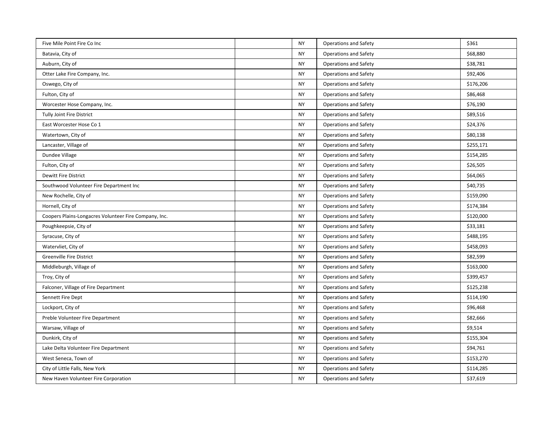| Five Mile Point Fire Co Inc                           | <b>NY</b> | <b>Operations and Safety</b> | \$361     |
|-------------------------------------------------------|-----------|------------------------------|-----------|
| Batavia, City of                                      | <b>NY</b> | <b>Operations and Safety</b> | \$68,880  |
| Auburn, City of                                       | <b>NY</b> | <b>Operations and Safety</b> | \$38,781  |
| Otter Lake Fire Company, Inc.                         | <b>NY</b> | <b>Operations and Safety</b> | \$92,406  |
| Oswego, City of                                       | <b>NY</b> | Operations and Safety        | \$176,206 |
| Fulton, City of                                       | <b>NY</b> | <b>Operations and Safety</b> | \$86,468  |
| Worcester Hose Company, Inc.                          | <b>NY</b> | Operations and Safety        | \$76,190  |
| <b>Tully Joint Fire District</b>                      | <b>NY</b> | <b>Operations and Safety</b> | \$89,516  |
| East Worcester Hose Co 1                              | <b>NY</b> | <b>Operations and Safety</b> | \$24,376  |
| Watertown, City of                                    | <b>NY</b> | <b>Operations and Safety</b> | \$80,138  |
| Lancaster, Village of                                 | <b>NY</b> | <b>Operations and Safety</b> | \$255,171 |
| Dundee Village                                        | <b>NY</b> | <b>Operations and Safety</b> | \$154,285 |
| Fulton, City of                                       | <b>NY</b> | <b>Operations and Safety</b> | \$26,505  |
| <b>Dewitt Fire District</b>                           | <b>NY</b> | <b>Operations and Safety</b> | \$64,065  |
| Southwood Volunteer Fire Department Inc               | <b>NY</b> | <b>Operations and Safety</b> | \$40,735  |
| New Rochelle, City of                                 | <b>NY</b> | <b>Operations and Safety</b> | \$159,090 |
| Hornell, City of                                      | <b>NY</b> | <b>Operations and Safety</b> | \$174,384 |
| Coopers Plains-Longacres Volunteer Fire Company, Inc. | <b>NY</b> | <b>Operations and Safety</b> | \$120,000 |
| Poughkeepsie, City of                                 | <b>NY</b> | <b>Operations and Safety</b> | \$33,181  |
| Syracuse, City of                                     | <b>NY</b> | Operations and Safety        | \$488,195 |
| Watervliet, City of                                   | <b>NY</b> | <b>Operations and Safety</b> | \$458,093 |
| <b>Greenville Fire District</b>                       | <b>NY</b> | <b>Operations and Safety</b> | \$82,599  |
| Middleburgh, Village of                               | <b>NY</b> | <b>Operations and Safety</b> | \$163,000 |
| Troy, City of                                         | <b>NY</b> | <b>Operations and Safety</b> | \$399,457 |
| Falconer, Village of Fire Department                  | <b>NY</b> | Operations and Safety        | \$125,238 |
| Sennett Fire Dept                                     | <b>NY</b> | <b>Operations and Safety</b> | \$114,190 |
| Lockport, City of                                     | <b>NY</b> | Operations and Safety        | \$96,468  |
| Preble Volunteer Fire Department                      | <b>NY</b> | <b>Operations and Safety</b> | \$82,666  |
| Warsaw, Village of                                    | <b>NY</b> | <b>Operations and Safety</b> | \$9,514   |
| Dunkirk, City of                                      | <b>NY</b> | <b>Operations and Safety</b> | \$155,304 |
| Lake Delta Volunteer Fire Department                  | <b>NY</b> | <b>Operations and Safety</b> | \$94,761  |
| West Seneca, Town of                                  | <b>NY</b> | <b>Operations and Safety</b> | \$153,270 |
| City of Little Falls, New York                        | <b>NY</b> | <b>Operations and Safety</b> | \$114,285 |
| New Haven Volunteer Fire Corporation                  | <b>NY</b> | <b>Operations and Safety</b> | \$37,619  |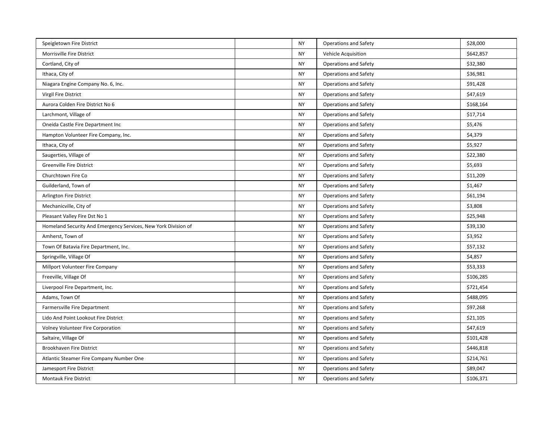| Speigletown Fire District                                      | <b>NY</b> | <b>Operations and Safety</b> | \$28,000  |
|----------------------------------------------------------------|-----------|------------------------------|-----------|
| Morrisville Fire District                                      | <b>NY</b> | Vehicle Acquisition          | \$642,857 |
| Cortland, City of                                              | <b>NY</b> | <b>Operations and Safety</b> | \$32,380  |
| Ithaca, City of                                                | <b>NY</b> | <b>Operations and Safety</b> | \$36,981  |
| Niagara Engine Company No. 6, Inc.                             | <b>NY</b> | <b>Operations and Safety</b> | \$91,428  |
| Virgil Fire District                                           | ΝY        | <b>Operations and Safety</b> | \$47,619  |
| Aurora Colden Fire District No 6                               | <b>NY</b> | <b>Operations and Safety</b> | \$168,164 |
| Larchmont, Village of                                          | <b>NY</b> | <b>Operations and Safety</b> | \$17,714  |
| Oneida Castle Fire Department Inc                              | <b>NY</b> | <b>Operations and Safety</b> | \$5,476   |
| Hampton Volunteer Fire Company, Inc.                           | <b>NY</b> | <b>Operations and Safety</b> | \$4,379   |
| Ithaca, City of                                                | <b>NY</b> | <b>Operations and Safety</b> | \$5,927   |
| Saugerties, Village of                                         | <b>NY</b> | <b>Operations and Safety</b> | \$22,380  |
| <b>Greenville Fire District</b>                                | <b>NY</b> | <b>Operations and Safety</b> | \$5,693   |
| Churchtown Fire Co                                             | <b>NY</b> | <b>Operations and Safety</b> | \$11,209  |
| Guilderland, Town of                                           | <b>NY</b> | <b>Operations and Safety</b> | \$1,467   |
| Arlington Fire District                                        | <b>NY</b> | <b>Operations and Safety</b> | \$61,194  |
| Mechanicville, City of                                         | <b>NY</b> | <b>Operations and Safety</b> | \$3,808   |
| Pleasant Valley Fire Dst No 1                                  | <b>NY</b> | Operations and Safety        | \$25,948  |
| Homeland Security And Emergency Services, New York Division of | <b>NY</b> | <b>Operations and Safety</b> | \$39,130  |
| Amherst, Town of                                               | <b>NY</b> | <b>Operations and Safety</b> | \$3,952   |
| Town Of Batavia Fire Department, Inc.                          | <b>NY</b> | <b>Operations and Safety</b> | \$57,132  |
| Springville, Village Of                                        | <b>NY</b> | <b>Operations and Safety</b> | \$4,857   |
| Millport Volunteer Fire Company                                | <b>NY</b> | Operations and Safety        | \$53,333  |
| Freeville, Village Of                                          | <b>NY</b> | Operations and Safety        | \$106,285 |
| Liverpool Fire Department, Inc.                                | <b>NY</b> | <b>Operations and Safety</b> | \$721,454 |
| Adams, Town Of                                                 | <b>NY</b> | <b>Operations and Safety</b> | \$488,095 |
| Farmersville Fire Department                                   | <b>NY</b> | <b>Operations and Safety</b> | \$97,268  |
| Lido And Point Lookout Fire District                           | <b>NY</b> | <b>Operations and Safety</b> | \$21,105  |
| <b>Volney Volunteer Fire Corporation</b>                       | <b>NY</b> | Operations and Safety        | \$47,619  |
| Saltaire, Village Of                                           | <b>NY</b> | <b>Operations and Safety</b> | \$101,428 |
| Brookhaven Fire District                                       | <b>NY</b> | <b>Operations and Safety</b> | \$446,818 |
| Atlantic Steamer Fire Company Number One                       | <b>NY</b> | <b>Operations and Safety</b> | \$214,761 |
| Jamesport Fire District                                        | <b>NY</b> | <b>Operations and Safety</b> | \$89,047  |
| <b>Montauk Fire District</b>                                   | <b>NY</b> | <b>Operations and Safety</b> | \$106,371 |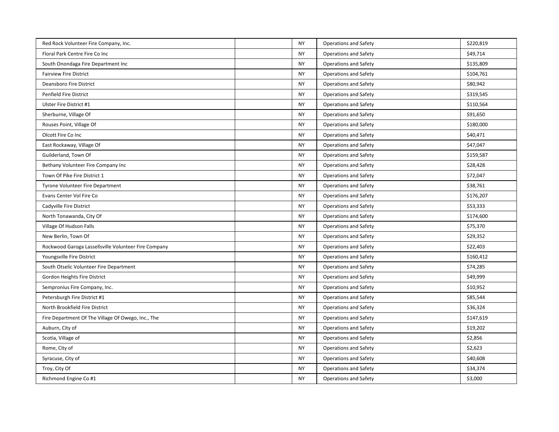| Red Rock Volunteer Fire Company, Inc.                | <b>NY</b> | <b>Operations and Safety</b> | \$220,819 |
|------------------------------------------------------|-----------|------------------------------|-----------|
| Floral Park Centre Fire Co Inc                       | <b>NY</b> | <b>Operations and Safety</b> | \$49,714  |
| South Onondaga Fire Department Inc                   | <b>NY</b> | <b>Operations and Safety</b> | \$135,809 |
| <b>Fairview Fire District</b>                        | <b>NY</b> | <b>Operations and Safety</b> | \$104,761 |
| Deansboro Fire District                              | <b>NY</b> | <b>Operations and Safety</b> | \$80,942  |
| Penfield Fire District                               | <b>NY</b> | Operations and Safety        | \$319,545 |
| Ulster Fire District #1                              | <b>NY</b> | <b>Operations and Safety</b> | \$110,564 |
| Sherburne, Village Of                                | <b>NY</b> | <b>Operations and Safety</b> | \$91,650  |
| Rouses Point, Village Of                             | <b>NY</b> | <b>Operations and Safety</b> | \$180,000 |
| Olcott Fire Co Inc                                   | <b>NY</b> | <b>Operations and Safety</b> | \$40,471  |
| East Rockaway, Village Of                            | <b>NY</b> | Operations and Safety        | \$47,047  |
| Guilderland, Town Of                                 | <b>NY</b> | <b>Operations and Safety</b> | \$159,587 |
| Bethany Volunteer Fire Company Inc                   | <b>NY</b> | <b>Operations and Safety</b> | \$28,428  |
| Town Of Pike Fire District 1                         | <b>NY</b> | <b>Operations and Safety</b> | \$72,047  |
| Tyrone Volunteer Fire Department                     | <b>NY</b> | <b>Operations and Safety</b> | \$38,761  |
| Evans Center Vol Fire Co                             | <b>NY</b> | <b>Operations and Safety</b> | \$176,207 |
| Cadyville Fire District                              | <b>NY</b> | <b>Operations and Safety</b> | \$53,333  |
| North Tonawanda, City Of                             | <b>NY</b> | Operations and Safety        | \$174,600 |
| Village Of Hudson Falls                              | <b>NY</b> | Operations and Safety        | \$75,370  |
| New Berlin, Town Of                                  | <b>NY</b> | <b>Operations and Safety</b> | \$29,352  |
| Rockwood Garoga Lassellsville Volunteer Fire Company | <b>NY</b> | <b>Operations and Safety</b> | \$22,403  |
| Youngsville Fire District                            | <b>NY</b> | <b>Operations and Safety</b> | \$160,412 |
| South Otselic Volunteer Fire Department              | <b>NY</b> | <b>Operations and Safety</b> | \$74,285  |
| Gordon Heights Fire District                         | <b>NY</b> | <b>Operations and Safety</b> | \$49,999  |
| Sempronius Fire Company, Inc.                        | <b>NY</b> | <b>Operations and Safety</b> | \$10,952  |
| Petersburgh Fire District #1                         | ΝY        | Operations and Safety        | \$85,544  |
| North Brookfield Fire District                       | <b>NY</b> | <b>Operations and Safety</b> | \$36,324  |
| Fire Department Of The Village Of Owego, Inc., The   | <b>NY</b> | <b>Operations and Safety</b> | \$147,619 |
| Auburn, City of                                      | <b>NY</b> | <b>Operations and Safety</b> | \$19,202  |
| Scotia, Village of                                   | <b>NY</b> | <b>Operations and Safety</b> | \$2,856   |
| Rome, City of                                        | <b>NY</b> | Operations and Safety        | \$2,623   |
| Syracuse, City of                                    | <b>NY</b> | <b>Operations and Safety</b> | \$40,608  |
| Troy, City Of                                        | <b>NY</b> | <b>Operations and Safety</b> | \$34,374  |
| Richmond Engine Co #1                                | <b>NY</b> | Operations and Safety        | \$3,000   |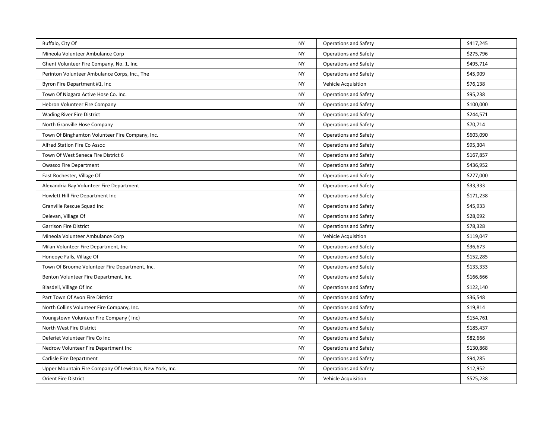| Buffalo, City Of                                        | <b>NY</b> | <b>Operations and Safety</b> | \$417,245 |
|---------------------------------------------------------|-----------|------------------------------|-----------|
| Mineola Volunteer Ambulance Corp                        | <b>NY</b> | <b>Operations and Safety</b> | \$275,796 |
| Ghent Volunteer Fire Company, No. 1, Inc.               | <b>NY</b> | <b>Operations and Safety</b> | \$495,714 |
| Perinton Volunteer Ambulance Corps, Inc., The           | <b>NY</b> | <b>Operations and Safety</b> | \$45,909  |
| Byron Fire Department #1, Inc                           | <b>NY</b> | Vehicle Acquisition          | \$76,138  |
| Town Of Niagara Active Hose Co. Inc.                    | <b>NY</b> | Operations and Safety        | \$95,238  |
| Hebron Volunteer Fire Company                           | <b>NY</b> | <b>Operations and Safety</b> | \$100,000 |
| <b>Wading River Fire District</b>                       | <b>NY</b> | <b>Operations and Safety</b> | \$244,571 |
| North Granville Hose Company                            | <b>NY</b> | <b>Operations and Safety</b> | \$70,714  |
| Town Of Binghamton Volunteer Fire Company, Inc.         | <b>NY</b> | Operations and Safety        | \$603,090 |
| Alfred Station Fire Co Assoc                            | <b>NY</b> | <b>Operations and Safety</b> | \$95,304  |
| Town Of West Seneca Fire District 6                     | <b>NY</b> | <b>Operations and Safety</b> | \$167,857 |
| <b>Owasco Fire Department</b>                           | <b>NY</b> | <b>Operations and Safety</b> | \$436,952 |
| East Rochester, Village Of                              | <b>NY</b> | <b>Operations and Safety</b> | \$277,000 |
| Alexandria Bay Volunteer Fire Department                | <b>NY</b> | Operations and Safety        | \$33,333  |
| Howlett Hill Fire Department Inc                        | ΝY        | Operations and Safety        | \$171,238 |
| Granville Rescue Squad Inc                              | <b>NY</b> | <b>Operations and Safety</b> | \$45,933  |
| Delevan, Village Of                                     | <b>NY</b> | <b>Operations and Safety</b> | \$28,092  |
| <b>Garrison Fire District</b>                           | <b>NY</b> | <b>Operations and Safety</b> | \$78,328  |
| Mineola Volunteer Ambulance Corp                        | <b>NY</b> | Vehicle Acquisition          | \$119,047 |
| Milan Volunteer Fire Department, Inc.                   | ΝY        | Operations and Safety        | \$36,673  |
| Honeoye Falls, Village Of                               | <b>NY</b> | <b>Operations and Safety</b> | \$152,285 |
| Town Of Broome Volunteer Fire Department, Inc.          | <b>NY</b> | <b>Operations and Safety</b> | \$133,333 |
| Benton Volunteer Fire Department, Inc.                  | <b>NY</b> | <b>Operations and Safety</b> | \$166,666 |
| Blasdell, Village Of Inc                                | <b>NY</b> | Operations and Safety        | \$122,140 |
| Part Town Of Avon Fire District                         | <b>NY</b> | Operations and Safety        | \$36,548  |
| North Collins Volunteer Fire Company, Inc.              | <b>NY</b> | <b>Operations and Safety</b> | \$19,814  |
| Youngstown Volunteer Fire Company (Inc)                 | <b>NY</b> | <b>Operations and Safety</b> | \$154,761 |
| North West Fire District                                | <b>NY</b> | <b>Operations and Safety</b> | \$185,437 |
| Deferiet Volunteer Fire Co Inc                          | <b>NY</b> | Operations and Safety        | \$82,666  |
| Nedrow Volunteer Fire Department Inc                    | ΝY        | <b>Operations and Safety</b> | \$130,868 |
| Carlisle Fire Department                                | <b>NY</b> | <b>Operations and Safety</b> | \$94,285  |
| Upper Mountain Fire Company Of Lewiston, New York, Inc. | <b>NY</b> | <b>Operations and Safety</b> | \$12,952  |
| <b>Orient Fire District</b>                             | <b>NY</b> | Vehicle Acquisition          | \$525,238 |